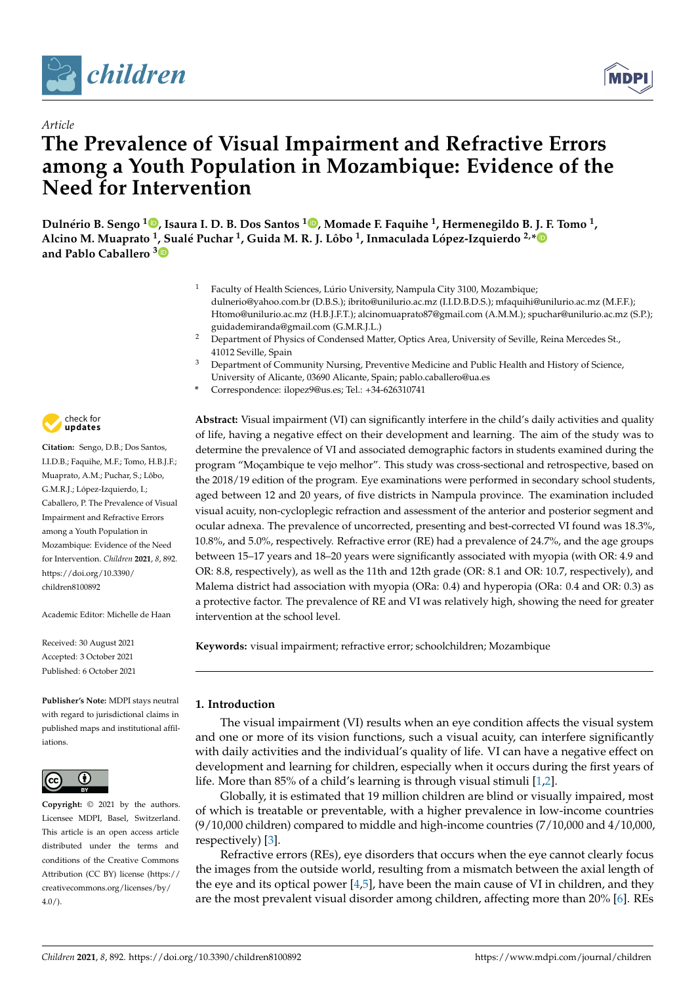

*Article*



# **The Prevalence of Visual Impairment and Refractive Errors among a Youth Population in Mozambique: Evidence of the Need for Intervention**

**Dulnério B. Sengo <sup>1</sup> [,](https://orcid.org/0000-0002-9147-7589) Isaura I. D. B. Dos Santos <sup>1</sup> [,](https://orcid.org/0000-0001-8723-7606) Momade F. Faquihe <sup>1</sup> , Hermenegildo B. J. F. Tomo <sup>1</sup> , Alcino M. Muaprato <sup>1</sup> , Sualé Puchar <sup>1</sup> , Guida M. R. J. Lôbo <sup>1</sup> , Inmaculada López-Izquierdo 2,[\\*](https://orcid.org/0000-0003-3065-9896) and Pablo Caballero [3](https://orcid.org/0000-0002-1234-2150)**

- <sup>1</sup> Faculty of Health Sciences, Lúrio University, Nampula City 3100, Mozambique; dulnerio@yahoo.com.br (D.B.S.); ibrito@unilurio.ac.mz (I.I.D.B.D.S.); mfaquihi@unilurio.ac.mz (M.F.F.); Htomo@unilurio.ac.mz (H.B.J.F.T.); alcinomuaprato87@gmail.com (A.M.M.); spuchar@unilurio.ac.mz (S.P.); guidademiranda@gmail.com (G.M.R.J.L.)
- <sup>2</sup> Department of Physics of Condensed Matter, Optics Area, University of Seville, Reina Mercedes St., 41012 Seville, Spain
- <sup>3</sup> Department of Community Nursing, Preventive Medicine and Public Health and History of Science, University of Alicante, 03690 Alicante, Spain; pablo.caballero@ua.es
- **\*** Correspondence: ilopez9@us.es; Tel.: +34-626310741

check for **-**

**Citation:** Sengo, D.B.; Dos Santos, I.I.D.B.; Faquihe, M.F.; Tomo, H.B.J.F.; Muaprato, A.M.; Puchar, S.; Lôbo, G.M.R.J.; López-Izquierdo, I.; Caballero, P. The Prevalence of Visual Impairment and Refractive Errors among a Youth Population in Mozambique: Evidence of the Need for Intervention. *Children* **2021**, *8*, 892. [https://doi.org/10.3390/](https://doi.org/10.3390/children8100892) [children8100892](https://doi.org/10.3390/children8100892)

Academic Editor: Michelle de Haan

Received: 30 August 2021 Accepted: 3 October 2021 Published: 6 October 2021

**Publisher's Note:** MDPI stays neutral with regard to jurisdictional claims in published maps and institutional affiliations.



**Copyright:** © 2021 by the authors. Licensee MDPI, Basel, Switzerland. This article is an open access article distributed under the terms and conditions of the Creative Commons Attribution (CC BY) license (https:/[/](https://creativecommons.org/licenses/by/4.0/) [creativecommons.org/licenses/by/](https://creativecommons.org/licenses/by/4.0/)  $4.0/$ ).

**Abstract:** Visual impairment (VI) can significantly interfere in the child's daily activities and quality of life, having a negative effect on their development and learning. The aim of the study was to determine the prevalence of VI and associated demographic factors in students examined during the program "Moçambique te vejo melhor". This study was cross-sectional and retrospective, based on the 2018/19 edition of the program. Eye examinations were performed in secondary school students, aged between 12 and 20 years, of five districts in Nampula province. The examination included visual acuity, non-cycloplegic refraction and assessment of the anterior and posterior segment and ocular adnexa. The prevalence of uncorrected, presenting and best-corrected VI found was 18.3%, 10.8%, and 5.0%, respectively. Refractive error (RE) had a prevalence of 24.7%, and the age groups between 15–17 years and 18–20 years were significantly associated with myopia (with OR: 4.9 and OR: 8.8, respectively), as well as the 11th and 12th grade (OR: 8.1 and OR: 10.7, respectively), and Malema district had association with myopia (ORa: 0.4) and hyperopia (ORa: 0.4 and OR: 0.3) as a protective factor. The prevalence of RE and VI was relatively high, showing the need for greater intervention at the school level.

**Keywords:** visual impairment; refractive error; schoolchildren; Mozambique

## **1. Introduction**

The visual impairment (VI) results when an eye condition affects the visual system and one or more of its vision functions, such a visual acuity, can interfere significantly with daily activities and the individual's quality of life. VI can have a negative effect on development and learning for children, especially when it occurs during the first years of life. More than 85% of a child's learning is through visual stimuli [\[1](#page-8-0)[,2\]](#page-8-1).

Globally, it is estimated that 19 million children are blind or visually impaired, most of which is treatable or preventable, with a higher prevalence in low-income countries (9/10,000 children) compared to middle and high-income countries (7/10,000 and 4/10,000, respectively) [\[3\]](#page-8-2).

Refractive errors (REs), eye disorders that occurs when the eye cannot clearly focus the images from the outside world, resulting from a mismatch between the axial length of the eye and its optical power  $[4,5]$  $[4,5]$ , have been the main cause of VI in children, and they are the most prevalent visual disorder among children, affecting more than 20% [\[6\]](#page-8-5). REs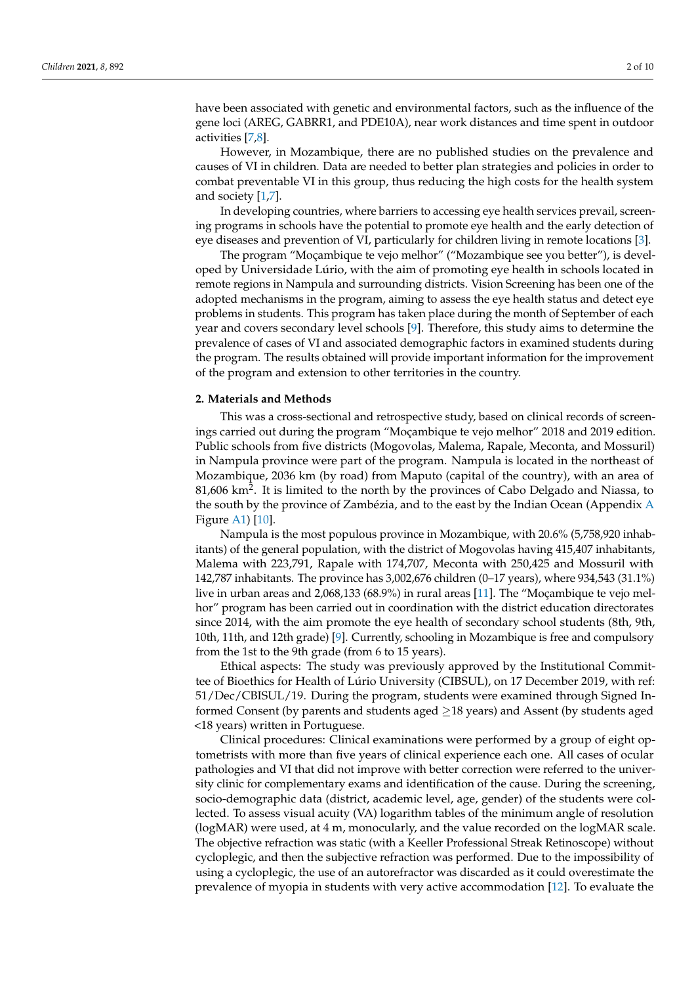have been associated with genetic and environmental factors, such as the influence of the gene loci (AREG, GABRR1, and PDE10A), near work distances and time spent in outdoor activities [\[7](#page-8-6)[,8\]](#page-8-7).

However, in Mozambique, there are no published studies on the prevalence and causes of VI in children. Data are needed to better plan strategies and policies in order to combat preventable VI in this group, thus reducing the high costs for the health system and society [\[1](#page-8-0)[,7\]](#page-8-6).

In developing countries, where barriers to accessing eye health services prevail, screening programs in schools have the potential to promote eye health and the early detection of eye diseases and prevention of VI, particularly for children living in remote locations [\[3\]](#page-8-2).

The program "Moçambique te vejo melhor" ("Mozambique see you better"), is developed by Universidade Lúrio, with the aim of promoting eye health in schools located in remote regions in Nampula and surrounding districts. Vision Screening has been one of the adopted mechanisms in the program, aiming to assess the eye health status and detect eye problems in students. This program has taken place during the month of September of each year and covers secondary level schools [\[9\]](#page-8-8). Therefore, this study aims to determine the prevalence of cases of VI and associated demographic factors in examined students during the program. The results obtained will provide important information for the improvement of the program and extension to other territories in the country.

#### **2. Materials and Methods**

This was a cross-sectional and retrospective study, based on clinical records of screenings carried out during the program "Moçambique te vejo melhor" 2018 and 2019 edition. Public schools from five districts (Mogovolas, Malema, Rapale, Meconta, and Mossuril) in Nampula province were part of the program. Nampula is located in the northeast of Mozambique, 2036 km (by road) from Maputo (capital of the country), with an area of 81,606  $\rm km^2$ . It is limited to the north by the provinces of Cabo Delgado and Niassa, to the south by the province of Zambézia, and to the east by the Indian Ocean (Appendix [A](#page-8-9) Figure [A1\)](#page-8-10) [\[10\]](#page-8-11).

Nampula is the most populous province in Mozambique, with 20.6% (5,758,920 inhabitants) of the general population, with the district of Mogovolas having 415,407 inhabitants, Malema with 223,791, Rapale with 174,707, Meconta with 250,425 and Mossuril with 142,787 inhabitants. The province has 3,002,676 children (0–17 years), where 934,543 (31.1%) live in urban areas and 2,068,133 (68.9%) in rural areas [\[11\]](#page-8-12). The "Moçambique te vejo melhor" program has been carried out in coordination with the district education directorates since 2014, with the aim promote the eye health of secondary school students (8th, 9th, 10th, 11th, and 12th grade) [\[9\]](#page-8-8). Currently, schooling in Mozambique is free and compulsory from the 1st to the 9th grade (from 6 to 15 years).

Ethical aspects: The study was previously approved by the Institutional Committee of Bioethics for Health of Lúrio University (CIBSUL), on 17 December 2019, with ref: 51/Dec/CBISUL/19. During the program, students were examined through Signed Informed Consent (by parents and students aged  $\geq$ 18 years) and Assent (by students aged <18 years) written in Portuguese.

Clinical procedures: Clinical examinations were performed by a group of eight optometrists with more than five years of clinical experience each one. All cases of ocular pathologies and VI that did not improve with better correction were referred to the university clinic for complementary exams and identification of the cause. During the screening, socio-demographic data (district, academic level, age, gender) of the students were collected. To assess visual acuity (VA) logarithm tables of the minimum angle of resolution (logMAR) were used, at 4 m, monocularly, and the value recorded on the logMAR scale. The objective refraction was static (with a Keeller Professional Streak Retinoscope) without cycloplegic, and then the subjective refraction was performed. Due to the impossibility of using a cycloplegic, the use of an autorefractor was discarded as it could overestimate the prevalence of myopia in students with very active accommodation [\[12\]](#page-8-13). To evaluate the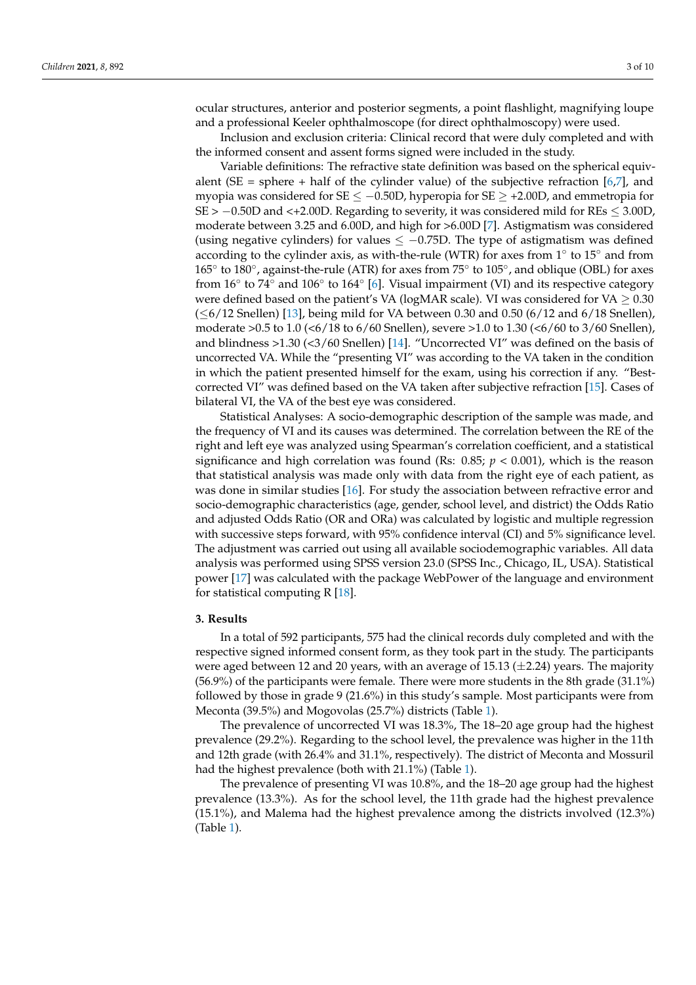ocular structures, anterior and posterior segments, a point flashlight, magnifying loupe and a professional Keeler ophthalmoscope (for direct ophthalmoscopy) were used.

Inclusion and exclusion criteria: Clinical record that were duly completed and with the informed consent and assent forms signed were included in the study.

Variable definitions: The refractive state definition was based on the spherical equivalent (SE = sphere + half of the cylinder value) of the subjective refraction  $[6,7]$  $[6,7]$ , and myopia was considered for SE  $\leq -0.50D$ , hyperopia for SE  $\geq$  +2.00D, and emmetropia for SE > −0.50D and <+2.00D. Regarding to severity, it was considered mild for REs ≤ 3.00D, moderate between 3.25 and 6.00D, and high for >6.00D [\[7\]](#page-8-6). Astigmatism was considered (using negative cylinders) for values  $\leq -0.75D$ . The type of astigmatism was defined according to the cylinder axis, as with-the-rule (WTR) for axes from  $1^{\circ}$  to  $15^{\circ}$  and from 165<sup>°</sup> to 180<sup>°</sup>, against-the-rule (ATR) for axes from 75<sup>°</sup> to 105<sup>°</sup>, and oblique (OBL) for axes from 16 $\degree$  to 74 $\degree$  and 106 $\degree$  to 164 $\degree$  [\[6\]](#page-8-5). Visual impairment (VI) and its respective category were defined based on the patient's VA (logMAR scale). VI was considered for VA  $\geq$  0.30  $(\leq 6/12$  Snellen) [\[13\]](#page-8-14), being mild for VA between 0.30 and 0.50 (6/12 and 6/18 Snellen), moderate >0.5 to 1.0 (<6/18 to 6/60 Snellen), severe >1.0 to 1.30 (<6/60 to 3/60 Snellen), and blindness >1.30 (<3/60 Snellen) [\[14\]](#page-8-15). "Uncorrected VI" was defined on the basis of uncorrected VA. While the "presenting VI" was according to the VA taken in the condition in which the patient presented himself for the exam, using his correction if any. "Bestcorrected VI" was defined based on the VA taken after subjective refraction [\[15\]](#page-8-16). Cases of bilateral VI, the VA of the best eye was considered.

Statistical Analyses: A socio-demographic description of the sample was made, and the frequency of VI and its causes was determined. The correlation between the RE of the right and left eye was analyzed using Spearman's correlation coefficient, and a statistical significance and high correlation was found (Rs:  $0.85; p < 0.001$ ), which is the reason that statistical analysis was made only with data from the right eye of each patient, as was done in similar studies [\[16\]](#page-8-17). For study the association between refractive error and socio-demographic characteristics (age, gender, school level, and district) the Odds Ratio and adjusted Odds Ratio (OR and ORa) was calculated by logistic and multiple regression with successive steps forward, with 95% confidence interval (CI) and 5% significance level. The adjustment was carried out using all available sociodemographic variables. All data analysis was performed using SPSS version 23.0 (SPSS Inc., Chicago, IL, USA). Statistical power [\[17\]](#page-8-18) was calculated with the package WebPower of the language and environment for statistical computing  $R$  [\[18\]](#page-8-19).

#### **3. Results**

In a total of 592 participants, 575 had the clinical records duly completed and with the respective signed informed consent form, as they took part in the study. The participants were aged between 12 and 20 years, with an average of 15.13  $(\pm 2.24)$  years. The majority (56.9%) of the participants were female. There were more students in the 8th grade (31.1%) followed by those in grade 9 (21.6%) in this study's sample. Most participants were from Meconta (39.5%) and Mogovolas (25.7%) districts (Table [1\)](#page-3-0).

The prevalence of uncorrected VI was 18.3%, The 18–20 age group had the highest prevalence (29.2%). Regarding to the school level, the prevalence was higher in the 11th and 12th grade (with 26.4% and 31.1%, respectively). The district of Meconta and Mossuril had the highest prevalence (both with 21.1%) (Table [1\)](#page-3-0).

The prevalence of presenting VI was 10.8%, and the 18–20 age group had the highest prevalence (13.3%). As for the school level, the 11th grade had the highest prevalence (15.1%), and Malema had the highest prevalence among the districts involved (12.3%) (Table [1\)](#page-3-0).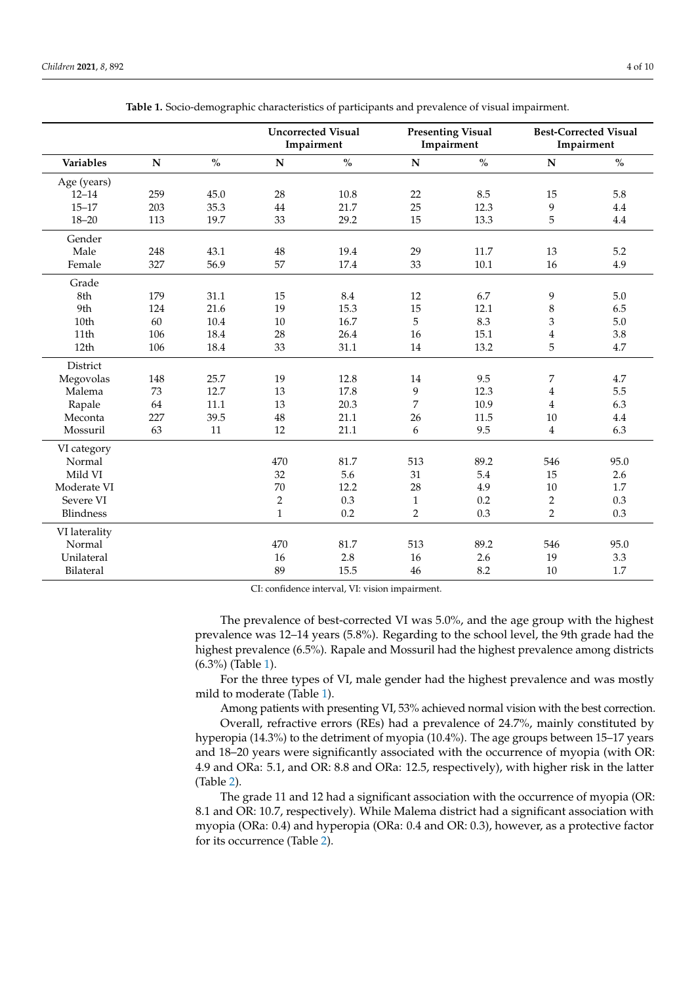<span id="page-3-0"></span>

|                  |           |      |                | <b>Uncorrected Visual</b><br>Impairment |                | <b>Presenting Visual</b><br>Impairment | <b>Best-Corrected Visual</b><br>Impairment |                                         |
|------------------|-----------|------|----------------|-----------------------------------------|----------------|----------------------------------------|--------------------------------------------|-----------------------------------------|
| Variables        | ${\bf N}$ | $\%$ | ${\bf N}$      | $\mathbf{0}_{\mathbf{0}}^{\prime}$      | ${\bf N}$      | $\%$                                   | ${\bf N}$                                  | $\mathbf{O}_{\!\!/\!\mathbf{O}}^\prime$ |
| Age (years)      |           |      |                |                                         |                |                                        |                                            |                                         |
| $12 - 14$        | 259       | 45.0 | 28             | 10.8                                    | 22             | 8.5                                    | 15                                         | 5.8                                     |
| $15 - 17$        | 203       | 35.3 | 44             | 21.7                                    | 25             | 12.3                                   | 9                                          | 4.4                                     |
| $18 - 20$        | 113       | 19.7 | 33             | 29.2                                    | 15             | 13.3                                   | 5                                          | 4.4                                     |
| Gender           |           |      |                |                                         |                |                                        |                                            |                                         |
| Male             | 248       | 43.1 | 48             | 19.4                                    | 29             | 11.7                                   | 13                                         | 5.2                                     |
| Female           | 327       | 56.9 | 57             | 17.4                                    | 33             | 10.1                                   | 16                                         | 4.9                                     |
| Grade            |           |      |                |                                         |                |                                        |                                            |                                         |
| 8th              | 179       | 31.1 | 15             | 8.4                                     | 12             | 6.7                                    | 9                                          | 5.0                                     |
| 9th              | 124       | 21.6 | 19             | 15.3                                    | 15             | 12.1                                   | $\,$ 8 $\,$                                | 6.5                                     |
| 10th             | 60        | 10.4 | $10\,$         | 16.7                                    | 5              | 8.3                                    | 3                                          | 5.0                                     |
| 11th             | 106       | 18.4 | 28             | 26.4                                    | 16             | 15.1                                   | $\bf 4$                                    | 3.8                                     |
| 12 <sub>th</sub> | 106       | 18.4 | 33             | 31.1                                    | 14             | 13.2                                   | 5                                          | 4.7                                     |
| District         |           |      |                |                                         |                |                                        |                                            |                                         |
| Megovolas        | 148       | 25.7 | 19             | 12.8                                    | 14             | 9.5                                    | 7                                          | 4.7                                     |
| Malema           | 73        | 12.7 | 13             | 17.8                                    | 9              | 12.3                                   | $\overline{\mathbf{4}}$                    | 5.5                                     |
| Rapale           | 64        | 11.1 | 13             | 20.3                                    | 7              | 10.9                                   | $\overline{4}$                             | 6.3                                     |
| Meconta          | 227       | 39.5 | 48             | 21.1                                    | 26             | 11.5                                   | 10                                         | 4.4                                     |
| Mossuril         | 63        | 11   | 12             | 21.1                                    | 6              | 9.5                                    | $\overline{4}$                             | 6.3                                     |
| VI category      |           |      |                |                                         |                |                                        |                                            |                                         |
| Normal           |           |      | 470            | 81.7                                    | 513            | 89.2                                   | 546                                        | 95.0                                    |
| Mild VI          |           |      | 32             | 5.6                                     | 31             | 5.4                                    | 15                                         | 2.6                                     |
| Moderate VI      |           |      | 70             | 12.2                                    | 28             | 4.9                                    | 10                                         | 1.7                                     |
| Severe VI        |           |      | $\overline{2}$ | 0.3                                     | $\mathbf{1}$   | 0.2                                    | $\overline{2}$                             | 0.3                                     |
| Blindness        |           |      | $\mathbf{1}$   | 0.2                                     | $\overline{2}$ | 0.3                                    | $\overline{2}$                             | 0.3                                     |
| VI laterality    |           |      |                |                                         |                |                                        |                                            |                                         |
| Normal           |           |      | 470            | 81.7                                    | 513            | 89.2                                   | 546                                        | 95.0                                    |
| Unilateral       |           |      | 16             | 2.8                                     | 16             | 2.6                                    | 19                                         | 3.3                                     |
| Bilateral        |           |      | 89             | 15.5                                    | 46             | 8.2                                    | 10                                         | 1.7                                     |

| Table 1. Socio-demographic characteristics of participants and prevalence of visual impairment. |  |  |  |  |
|-------------------------------------------------------------------------------------------------|--|--|--|--|
|                                                                                                 |  |  |  |  |

CI: confidence interval, VI: vision impairment.

The prevalence of best-corrected VI was 5.0%, and the age group with the highest prevalence was 12–14 years (5.8%). Regarding to the school level, the 9th grade had the highest prevalence (6.5%). Rapale and Mossuril had the highest prevalence among districts (6.3%) (Table [1\)](#page-3-0).

For the three types of VI, male gender had the highest prevalence and was mostly mild to moderate (Table [1\)](#page-3-0).

Among patients with presenting VI, 53% achieved normal vision with the best correction.

Overall, refractive errors (REs) had a prevalence of 24.7%, mainly constituted by hyperopia (14.3%) to the detriment of myopia (10.4%). The age groups between 15–17 years and 18–20 years were significantly associated with the occurrence of myopia (with OR: 4.9 and ORa: 5.1, and OR: 8.8 and ORa: 12.5, respectively), with higher risk in the latter (Table [2\)](#page-4-0).

The grade 11 and 12 had a significant association with the occurrence of myopia (OR: 8.1 and OR: 10.7, respectively). While Malema district had a significant association with myopia (ORa: 0.4) and hyperopia (ORa: 0.4 and OR: 0.3), however, as a protective factor for its occurrence (Table [2\)](#page-4-0).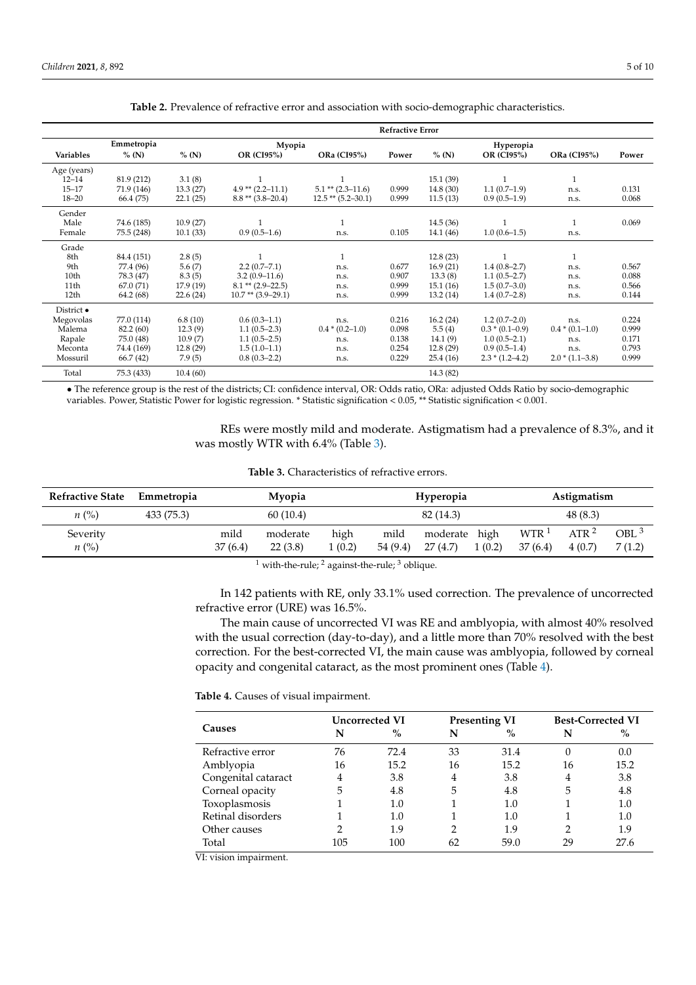<span id="page-4-0"></span>

|                  |            | <b>Refractive Error</b> |                        |                          |       |           |                     |                    |       |  |
|------------------|------------|-------------------------|------------------------|--------------------------|-------|-----------|---------------------|--------------------|-------|--|
|                  | Emmetropia |                         | Myopia                 |                          |       |           | Hyperopia           |                    |       |  |
| <b>Variables</b> | $%$ (N)    | $%$ (N)                 | OR (CI95%)             | ORa (CI95%)              | Power | $%$ (N)   | <b>OR (CI95%)</b>   | <b>ORa (CI95%)</b> | Power |  |
| Age (years)      |            |                         |                        |                          |       |           |                     |                    |       |  |
| $12 - 14$        | 81.9 (212) | 3.1(8)                  |                        |                          |       | 15.1(39)  |                     |                    |       |  |
| $15 - 17$        | 71.9 (146) | 13.3(27)                | $4.9**$ (2.2-11.1)     | $5.1$ ** $(2.3-11.6)$    | 0.999 | 14.8(30)  | $1.1(0.7-1.9)$      | n.s.               | 0.131 |  |
| $18 - 20$        | 66.4 (75)  | 22.1(25)                | $8.8**$ (3.8-20.4)     | $12.5$ ** $(5.2 - 30.1)$ | 0.999 | 11.5(13)  | $0.9(0.5-1.9)$      | n.s.               | 0.068 |  |
| Gender           |            |                         |                        |                          |       |           |                     |                    |       |  |
| Male             | 74.6 (185) | 10.9(27)                |                        | $\mathbf{1}$             |       | 14.5(36)  | $\mathbf{1}$        |                    | 0.069 |  |
| Female           | 75.5 (248) | 10.1(33)                | $0.9(0.5-1.6)$         | n.s.                     | 0.105 | 14.1 (46) | $1.0(0.6-1.5)$      | n.s.               |       |  |
| Grade            |            |                         |                        |                          |       |           |                     |                    |       |  |
| 8th              | 84.4 (151) | 2.8(5)                  |                        | $\mathbf{1}$             |       | 12.8(23)  | $\mathbf{1}$        | $\mathbf{1}$       |       |  |
| 9th              | 77.4 (96)  | 5.6(7)                  | $2.2(0.7 - 7.1)$       | n.s.                     | 0.677 | 16.9(21)  | $1.4(0.8-2.7)$      | n.s.               | 0.567 |  |
| 10th             | 78.3 (47)  | 8.3(5)                  | $3.2(0.9-11.6)$        | n.s.                     | 0.907 | 13.3(8)   | $1.1(0.5-2.7)$      | n.s.               | 0.088 |  |
| 11th             | 67.0 (71)  | 17.9 (19)               | $8.1$ ** $(2.9-22.5)$  | n.s.                     | 0.999 | 15.1(16)  | $1.5(0.7-3.0)$      | n.s.               | 0.566 |  |
| 12 <sub>th</sub> | 64.2 (68)  | 22.6(24)                | $10.7$ ** $(3.9-29.1)$ | n.s.                     | 0.999 | 13.2(14)  | $1.4(0.7-2.8)$      | n.s.               | 0.144 |  |
| District •       |            |                         |                        |                          |       |           |                     |                    |       |  |
| Megovolas        | 77.0 (114) | 6.8(10)                 | $0.6(0.3-1.1)$         | n.s.                     | 0.216 | 16.2(24)  | $1.2(0.7-2.0)$      | n.s.               | 0.224 |  |
| Malema           | 82.2 (60)  | 12.3(9)                 | $1.1(0.5-2.3)$         | $0.4*(0.2-1.0)$          | 0.098 | 5.5(4)    | $0.3 * (0.1 - 0.9)$ | $0.4*(0.1-1.0)$    | 0.999 |  |
| Rapale           | 75.0 (48)  | 10.9(7)                 | $1.1(0.5-2.5)$         | n.s.                     | 0.138 | 14.1(9)   | $1.0(0.5-2.1)$      | n.s.               | 0.171 |  |
| Meconta          | 74.4 (169) | 12.8(29)                | $1.5(1.0-1.1)$         | n.s.                     | 0.254 | 12.8(29)  | $0.9(0.5-1.4)$      | n.s.               | 0.793 |  |
| Mossuril         | 66.7 (42)  | 7.9(5)                  | $0.8(0.3-2.2)$         | n.s.                     | 0.229 | 25.4(16)  | $2.3 * (1.2 - 4.2)$ | $2.0*(1.1-3.8)$    | 0.999 |  |
| Total            | 75.3 (433) | 10.4(60)                |                        |                          |       | 14.3 (82) |                     |                    |       |  |

**Table 2.** Prevalence of refractive error and association with socio-demographic characteristics.

• The reference group is the rest of the districts; CI: confidence interval, OR: Odds ratio, ORa: adjusted Odds Ratio by socio-demographic variables. Power, Statistic Power for logistic regression. \* Statistic signification < 0.05, \*\* Statistic signification < 0.001.

> REs were mostly mild and moderate. Astigmatism had a prevalence of 8.3%, and it was mostly WTR with 6.4% (Table [3\)](#page-4-1).

| <b>Table 3.</b> Characteristics of refractive errors. |  |
|-------------------------------------------------------|--|
|-------------------------------------------------------|--|

<span id="page-4-1"></span>

| <b>Refractive State</b> | Emmetropia | <b>Myopia</b> |                       | Hyperopia |          |               | Astigmatism |                    |                  |                  |
|-------------------------|------------|---------------|-----------------------|-----------|----------|---------------|-------------|--------------------|------------------|------------------|
| $n\ (\%)$               | 433 (75.3) |               | 60(10.4)<br>82 (14.3) |           |          |               | 48 (8.3)    |                    |                  |                  |
| Severity                |            | mild          | moderate              | high      | mild     | moderate high |             | $WTR$ <sup>1</sup> | ATR <sup>2</sup> | OBL <sup>3</sup> |
| $n\ (\%)$               |            | 37(6.4)       | 22(3.8)               | 1(0.2)    | 54 (9.4) | 27(4.7)       | 1(0.2)      | 37(6.4)            | 4(0.7)           | 7(1.2)           |
|                         |            |               |                       |           |          |               |             |                    |                  |                  |

 $1$  with-the-rule;  $2$  against-the-rule;  $3$  oblique.

In 142 patients with RE, only 33.1% used correction. The prevalence of uncorrected refractive error (URE) was 16.5%.

The main cause of uncorrected VI was RE and amblyopia, with almost 40% resolved with the usual correction (day-to-day), and a little more than 70% resolved with the best correction. For the best-corrected VI, the main cause was amblyopia, followed by corneal opacity and congenital cataract, as the most prominent ones (Table [4\)](#page-4-2).

<span id="page-4-2"></span>**Table 4.** Causes of visual impairment.

|                     | Uncorrected VI |      |    | <b>Presenting VI</b> | <b>Best-Corrected VI</b> |         |  |
|---------------------|----------------|------|----|----------------------|--------------------------|---------|--|
| Causes              | N              | $\%$ | N  | $\%$                 |                          | $\%$    |  |
| Refractive error    | 76             | 72.4 | 33 | 31.4                 |                          | 0.0     |  |
| Amblyopia           | 16             | 15.2 | 16 | 15.2                 | 16                       | 15.2    |  |
| Congenital cataract | 4              | 3.8  | 4  | 3.8                  | 4                        | 3.8     |  |
| Corneal opacity     | 5              | 4.8  | 5  | 4.8                  | 5                        | 4.8     |  |
| Toxoplasmosis       |                | 1.0  |    | 1.0                  |                          | 1.0     |  |
| Retinal disorders   |                | 1.0  |    | 1.0                  |                          | $1.0\,$ |  |
| Other causes        |                | 1.9  | 2  | 1.9                  |                          | 1.9     |  |
| Total               | 105            | 100  | 62 | 59.0                 | 29                       | 27.6    |  |

VI: vision impairment.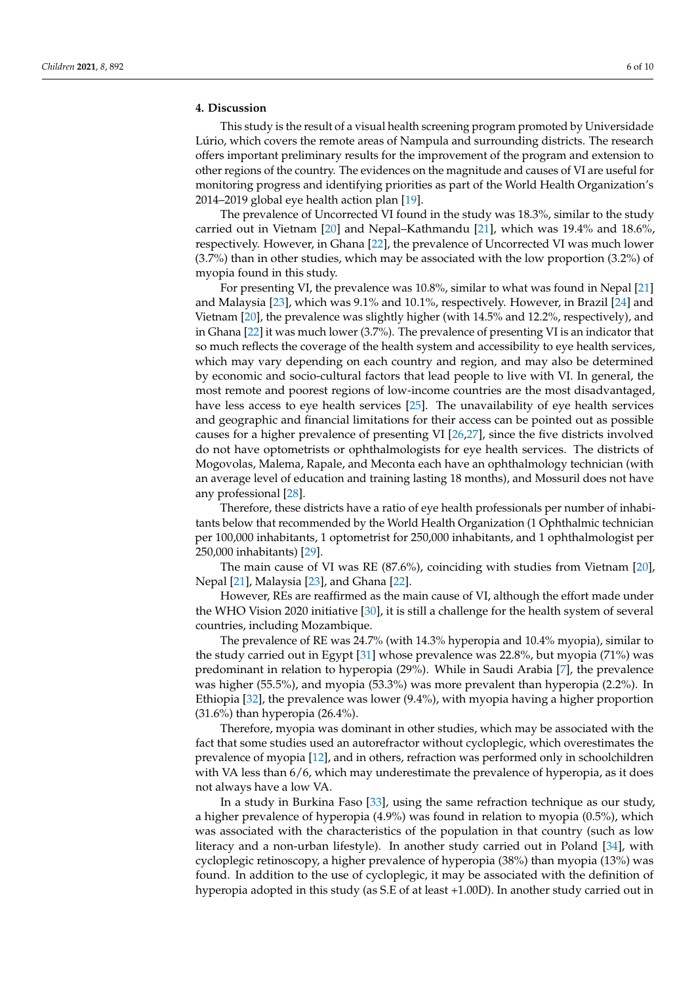#### **4. Discussion**

This study is the result of a visual health screening program promoted by Universidade Lúrio, which covers the remote areas of Nampula and surrounding districts. The research offers important preliminary results for the improvement of the program and extension to other regions of the country. The evidences on the magnitude and causes of VI are useful for monitoring progress and identifying priorities as part of the World Health Organization's 2014–2019 global eye health action plan [\[19\]](#page-9-0).

The prevalence of Uncorrected VI found in the study was 18.3%, similar to the study carried out in Vietnam [\[20\]](#page-9-1) and Nepal–Kathmandu [\[21\]](#page-9-2), which was 19.4% and 18.6%, respectively. However, in Ghana [\[22\]](#page-9-3), the prevalence of Uncorrected VI was much lower (3.7%) than in other studies, which may be associated with the low proportion (3.2%) of myopia found in this study.

For presenting VI, the prevalence was 10.8%, similar to what was found in Nepal [\[21\]](#page-9-2) and Malaysia [\[23\]](#page-9-4), which was 9.1% and 10.1%, respectively. However, in Brazil [\[24\]](#page-9-5) and Vietnam [\[20\]](#page-9-1), the prevalence was slightly higher (with 14.5% and 12.2%, respectively), and in Ghana [\[22\]](#page-9-3) it was much lower (3.7%). The prevalence of presenting VI is an indicator that so much reflects the coverage of the health system and accessibility to eye health services, which may vary depending on each country and region, and may also be determined by economic and socio-cultural factors that lead people to live with VI. In general, the most remote and poorest regions of low-income countries are the most disadvantaged, have less access to eye health services [\[25\]](#page-9-6). The unavailability of eye health services and geographic and financial limitations for their access can be pointed out as possible causes for a higher prevalence of presenting VI [\[26](#page-9-7)[,27\]](#page-9-8), since the five districts involved do not have optometrists or ophthalmologists for eye health services. The districts of Mogovolas, Malema, Rapale, and Meconta each have an ophthalmology technician (with an average level of education and training lasting 18 months), and Mossuril does not have any professional [\[28\]](#page-9-9).

Therefore, these districts have a ratio of eye health professionals per number of inhabitants below that recommended by the World Health Organization (1 Ophthalmic technician per 100,000 inhabitants, 1 optometrist for 250,000 inhabitants, and 1 ophthalmologist per 250,000 inhabitants) [\[29\]](#page-9-10).

The main cause of VI was RE (87.6%), coinciding with studies from Vietnam [\[20\]](#page-9-1), Nepal [\[21\]](#page-9-2), Malaysia [\[23\]](#page-9-4), and Ghana [\[22\]](#page-9-3).

However, REs are reaffirmed as the main cause of VI, although the effort made under the WHO Vision 2020 initiative [\[30\]](#page-9-11), it is still a challenge for the health system of several countries, including Mozambique.

The prevalence of RE was 24.7% (with 14.3% hyperopia and 10.4% myopia), similar to the study carried out in Egypt [\[31\]](#page-9-12) whose prevalence was 22.8%, but myopia (71%) was predominant in relation to hyperopia (29%). While in Saudi Arabia [\[7\]](#page-8-6), the prevalence was higher (55.5%), and myopia (53.3%) was more prevalent than hyperopia (2.2%). In Ethiopia [\[32\]](#page-9-13), the prevalence was lower (9.4%), with myopia having a higher proportion (31.6%) than hyperopia (26.4%).

Therefore, myopia was dominant in other studies, which may be associated with the fact that some studies used an autorefractor without cycloplegic, which overestimates the prevalence of myopia [\[12\]](#page-8-13), and in others, refraction was performed only in schoolchildren with VA less than 6/6, which may underestimate the prevalence of hyperopia, as it does not always have a low VA.

In a study in Burkina Faso [\[33\]](#page-9-14), using the same refraction technique as our study, a higher prevalence of hyperopia (4.9%) was found in relation to myopia (0.5%), which was associated with the characteristics of the population in that country (such as low literacy and a non-urban lifestyle). In another study carried out in Poland [\[34\]](#page-9-15), with cycloplegic retinoscopy, a higher prevalence of hyperopia (38%) than myopia (13%) was found. In addition to the use of cycloplegic, it may be associated with the definition of hyperopia adopted in this study (as S.E of at least +1.00D). In another study carried out in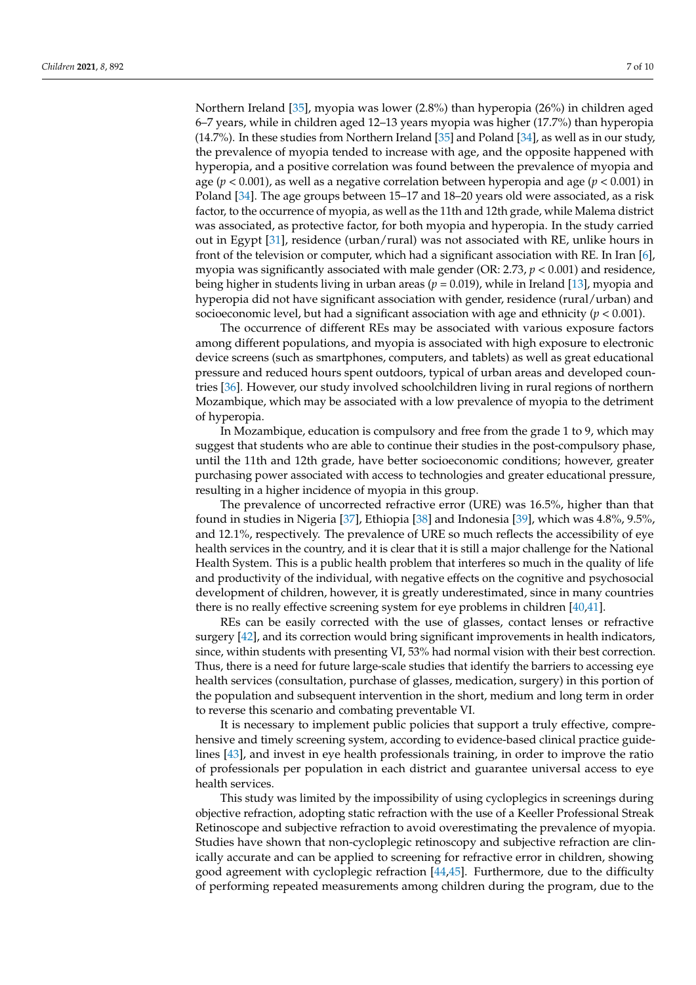Northern Ireland [\[35\]](#page-9-16), myopia was lower (2.8%) than hyperopia (26%) in children aged 6–7 years, while in children aged 12–13 years myopia was higher (17.7%) than hyperopia (14.7%). In these studies from Northern Ireland [\[35\]](#page-9-16) and Poland [\[34\]](#page-9-15), as well as in our study, the prevalence of myopia tended to increase with age, and the opposite happened with hyperopia, and a positive correlation was found between the prevalence of myopia and age (*p* < 0.001), as well as a negative correlation between hyperopia and age (*p* < 0.001) in Poland [\[34\]](#page-9-15). The age groups between 15–17 and 18–20 years old were associated, as a risk factor, to the occurrence of myopia, as well as the 11th and 12th grade, while Malema district was associated, as protective factor, for both myopia and hyperopia. In the study carried out in Egypt [\[31\]](#page-9-12), residence (urban/rural) was not associated with RE, unlike hours in front of the television or computer, which had a significant association with RE. In Iran [\[6\]](#page-8-5), myopia was significantly associated with male gender (OR: 2.73, *p* < 0.001) and residence, being higher in students living in urban areas (*p* = 0.019), while in Ireland [\[13\]](#page-8-14), myopia and hyperopia did not have significant association with gender, residence (rural/urban) and socioeconomic level, but had a significant association with age and ethnicity (*p* < 0.001).

The occurrence of different REs may be associated with various exposure factors among different populations, and myopia is associated with high exposure to electronic device screens (such as smartphones, computers, and tablets) as well as great educational pressure and reduced hours spent outdoors, typical of urban areas and developed countries [\[36\]](#page-9-17). However, our study involved schoolchildren living in rural regions of northern Mozambique, which may be associated with a low prevalence of myopia to the detriment of hyperopia.

In Mozambique, education is compulsory and free from the grade 1 to 9, which may suggest that students who are able to continue their studies in the post-compulsory phase, until the 11th and 12th grade, have better socioeconomic conditions; however, greater purchasing power associated with access to technologies and greater educational pressure, resulting in a higher incidence of myopia in this group.

The prevalence of uncorrected refractive error (URE) was 16.5%, higher than that found in studies in Nigeria [\[37\]](#page-9-18), Ethiopia [\[38\]](#page-9-19) and Indonesia [\[39\]](#page-9-20), which was 4.8%, 9.5%, and 12.1%, respectively. The prevalence of URE so much reflects the accessibility of eye health services in the country, and it is clear that it is still a major challenge for the National Health System. This is a public health problem that interferes so much in the quality of life and productivity of the individual, with negative effects on the cognitive and psychosocial development of children, however, it is greatly underestimated, since in many countries there is no really effective screening system for eye problems in children [\[40,](#page-9-21)[41\]](#page-9-22).

REs can be easily corrected with the use of glasses, contact lenses or refractive surgery [\[42\]](#page-9-23), and its correction would bring significant improvements in health indicators, since, within students with presenting VI, 53% had normal vision with their best correction. Thus, there is a need for future large-scale studies that identify the barriers to accessing eye health services (consultation, purchase of glasses, medication, surgery) in this portion of the population and subsequent intervention in the short, medium and long term in order to reverse this scenario and combating preventable VI.

It is necessary to implement public policies that support a truly effective, comprehensive and timely screening system, according to evidence-based clinical practice guidelines [\[43\]](#page-9-24), and invest in eye health professionals training, in order to improve the ratio of professionals per population in each district and guarantee universal access to eye health services.

This study was limited by the impossibility of using cycloplegics in screenings during objective refraction, adopting static refraction with the use of a Keeller Professional Streak Retinoscope and subjective refraction to avoid overestimating the prevalence of myopia. Studies have shown that non-cycloplegic retinoscopy and subjective refraction are clinically accurate and can be applied to screening for refractive error in children, showing good agreement with cycloplegic refraction [\[44,](#page-9-25)[45\]](#page-9-26). Furthermore, due to the difficulty of performing repeated measurements among children during the program, due to the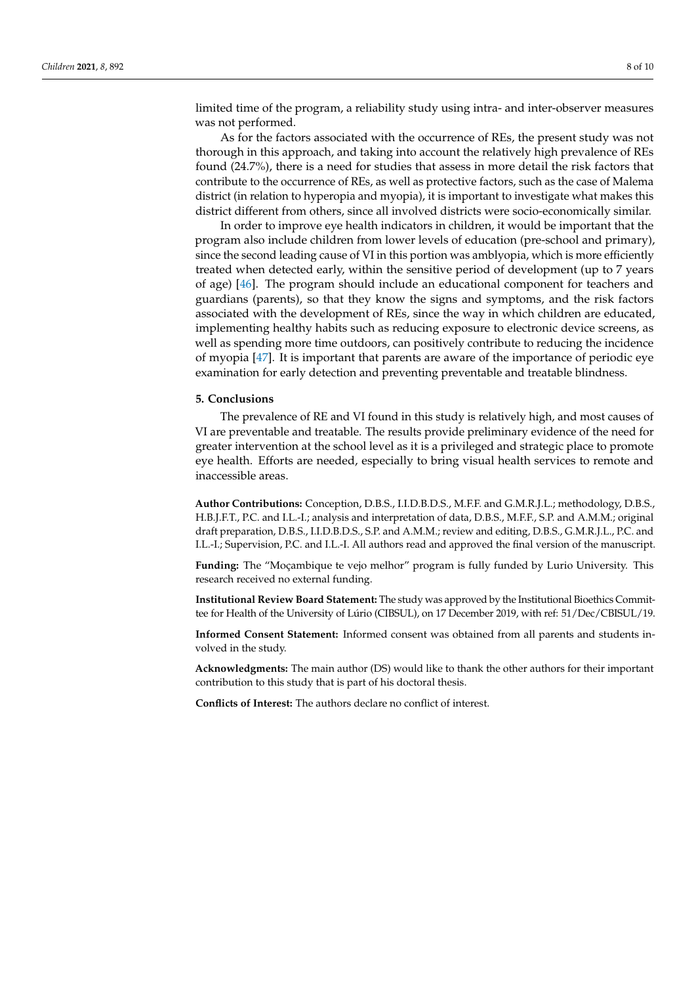limited time of the program, a reliability study using intra- and inter-observer measures was not performed.

As for the factors associated with the occurrence of REs, the present study was not thorough in this approach, and taking into account the relatively high prevalence of REs found (24.7%), there is a need for studies that assess in more detail the risk factors that contribute to the occurrence of REs, as well as protective factors, such as the case of Malema district (in relation to hyperopia and myopia), it is important to investigate what makes this district different from others, since all involved districts were socio-economically similar.

In order to improve eye health indicators in children, it would be important that the program also include children from lower levels of education (pre-school and primary), since the second leading cause of VI in this portion was amblyopia, which is more efficiently treated when detected early, within the sensitive period of development (up to 7 years of age) [\[46\]](#page-9-27). The program should include an educational component for teachers and guardians (parents), so that they know the signs and symptoms, and the risk factors associated with the development of REs, since the way in which children are educated, implementing healthy habits such as reducing exposure to electronic device screens, as well as spending more time outdoors, can positively contribute to reducing the incidence of myopia [\[47\]](#page-9-28). It is important that parents are aware of the importance of periodic eye examination for early detection and preventing preventable and treatable blindness.

#### **5. Conclusions**

The prevalence of RE and VI found in this study is relatively high, and most causes of VI are preventable and treatable. The results provide preliminary evidence of the need for greater intervention at the school level as it is a privileged and strategic place to promote eye health. Efforts are needed, especially to bring visual health services to remote and inaccessible areas.

**Author Contributions:** Conception, D.B.S., I.I.D.B.D.S., M.F.F. and G.M.R.J.L.; methodology, D.B.S., H.B.J.F.T., P.C. and I.L.-I.; analysis and interpretation of data, D.B.S., M.F.F., S.P. and A.M.M.; original draft preparation, D.B.S., I.I.D.B.D.S., S.P. and A.M.M.; review and editing, D.B.S., G.M.R.J.L., P.C. and I.L.-I.; Supervision, P.C. and I.L.-I. All authors read and approved the final version of the manuscript.

**Funding:** The "Moçambique te vejo melhor" program is fully funded by Lurio University. This research received no external funding.

**Institutional Review Board Statement:** The study was approved by the Institutional Bioethics Committee for Health of the University of Lúrio (CIBSUL), on 17 December 2019, with ref: 51/Dec/CBISUL/19.

**Informed Consent Statement:** Informed consent was obtained from all parents and students involved in the study.

**Acknowledgments:** The main author (DS) would like to thank the other authors for their important contribution to this study that is part of his doctoral thesis.

**Conflicts of Interest:** The authors declare no conflict of interest.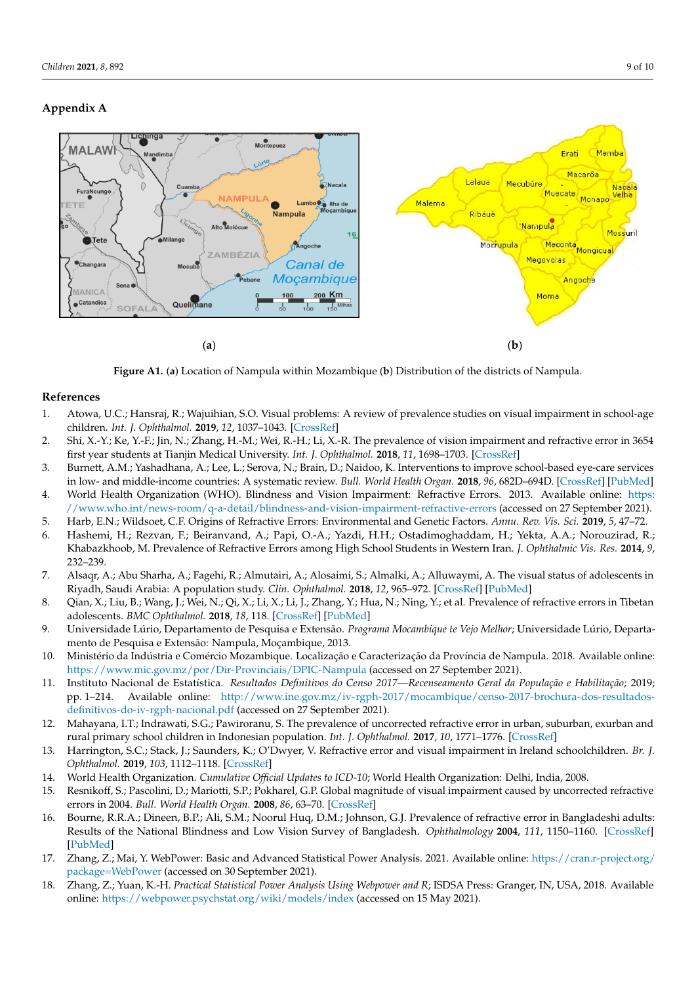## <span id="page-8-9"></span>**Appendix A**

<span id="page-8-10"></span>

Figure A1. (a) Location of Nampula within Mozambique (b) Distribution of the districts of Nampula.

## **References References**

- <span id="page-8-0"></span>1. Atowa, U.C.; Hansraj, R.; Wajuihian, S.O. Visual problems: A review of prevalence studies on visual impairment in school-age children. *Int. J. Ophthalmol.* **2019**, 12, 1037–1043. [\[CrossRef\]](http://doi.org/10.18240/ijo.2019.06.25)
- <span id="page-8-1"></span>2. Shi, X.-Y.; Ke, Y.-F.; Jin, N.; Zhang, H.-M.; Wei, R.-H.; Li, X.-R. The prevalence of vision impairment and refractive error in 3654 first year students at Tianjin Medical University. Int. J. Ophthalmol. 2018, 11, 1698–1703. [\[CrossRef\]](http://doi.org/10.18240/ijo.2018.10.19)
- <span id="page-8-2"></span>3. Burnett, A.M.; Yashadhana, A.; Lee, L.; Serova, N.; Brain, D.; Naidoo, K. Interventions to improve school-based eye-care services in low- and middle-income countries: A systematic review. Bull. World Health Organ. 2018, 96, 682D-694D. [\[CrossRef\]](http://doi.org/10.2471/BLT.18.212332) [\[PubMed\]](http://www.ncbi.nlm.nih.gov/pubmed/30455516) 4. World Health Organization (WHO). Blindness and Vision Impairment: Refractive Errors. 2013. Available online: [https:](https://www.who.int/news-room/q-a-detail/blindness-and-vision-impairment-refractive-errors)
- <span id="page-8-3"></span>//www.who.int/news-room/q-a-detail/blindness-and-vision-impairment-refractive-errors (accessed on 27 September 2021).
- <span id="page-8-4"></span>5. Harb, E.N.; Wildsoet, C.F. Origins of Refractive Errors: Environmental and Genetic Factors. Annu. Rev. Vis. Sci. 2019, 5, 47-72.
- <span id="page-8-5"></span>6. Hashemi, H.; Rezvan, F.; Beiranvand, A.; Papi, O.-A.; Yazdi, H.H.; Ostadimoghaddam, H.; Yekta, A.A.; Norouzirad, R.; Khabazkhoob, M. Prevalence of Refractive Errors among High School Students in Western Iran. *J. Ophthalmic Vis. Res.* **2014**, *9*, 232–239.
- <span id="page-8-6"></span>7. Alsaqr, A.; Abu Sharha, A.; Fagehi, R.; Almutairi, A.; Alosaimi, S.; Almalki, A.; Alluwaymi, A. The visual status of adolescents in Riyadh, Saudi Arabia: A population study. *Clin. Ophthalmol.* **2018**, *12*, 965–972. [\[CrossRef\]](http://doi.org/10.2147/OPTH.S162319) [\[PubMed\]](http://www.ncbi.nlm.nih.gov/pubmed/29872255)
- <span id="page-8-7"></span>8. Qian, X.; Liu, B.; Wang, J.; Wei, N.; Qi, X.; Li, X.; Li, J.; Zhang, Y.; Hua, N.; Ning, Y.; et al. Prevalence of refractive errors in Tibetan adolescents. *BMC Ophthalmol.* **2018**, *18*, 118. [\[CrossRef\]](http://doi.org/10.1186/s12886-018-0780-8) [\[PubMed\]](http://www.ncbi.nlm.nih.gov/pubmed/29747615)
- <span id="page-8-8"></span>9. Universidade Lúrio, Departamento de Pesquisa e Extensão. *Programa Mocambique te Vejo Melhor*; Universidade Lúrio, Departamento de Pesquisa e Extensão: Nampula, Moçambique, 2013.
- <span id="page-8-11"></span>10. Ministério da Indústria e Comércio Mozambique. Localização e Caracterização da Província de Nampula. 2018. Available online: <https://www.mic.gov.mz/por/Dir-Provinciais/DPIC-Nampula> (accessed on 27 September 2021).
- <span id="page-8-12"></span>11. Instituto Nacional de Estatística. *Resultados Definitivos do Censo 2017—Recenseamento Geral da População e Habilitação*; 2019; pp. 1–214. Available online: [http://www.ine.gov.mz/iv-rgph-2017/mocambique/censo-2017-brochura-dos-resultados](http://www.ine.gov.mz/iv-rgph-2017/mocambique/censo-2017-brochura-dos-resultados-definitivos-do-iv-rgph-nacional.pdf)[definitivos-do-iv-rgph-nacional.pdf](http://www.ine.gov.mz/iv-rgph-2017/mocambique/censo-2017-brochura-dos-resultados-definitivos-do-iv-rgph-nacional.pdf) (accessed on 27 September 2021).
- <span id="page-8-13"></span>12. Mahayana, I.T.; Indrawati, S.G.; Pawiroranu, S. The prevalence of uncorrected refractive error in urban, suburban, exurban and rural primary school children in Indonesian population. *Int. J. Ophthalmol.* **2017**, *10*, 1771–1776. [\[CrossRef\]](http://doi.org/10.18240/ijo.2017.11.21)
- <span id="page-8-14"></span>13. Harrington, S.C.; Stack, J.; Saunders, K.; O'Dwyer, V. Refractive error and visual impairment in Ireland schoolchildren. *Br. J. Ophthalmol.* **2019**, *103*, 1112–1118. [\[CrossRef\]](http://doi.org/10.1136/bjophthalmol-2018-312573)
- <span id="page-8-15"></span>14. World Health Organization. *Cumulative Official Updates to ICD-10*; World Health Organization: Delhi, India, 2008.
- <span id="page-8-16"></span>15. Resnikoff, S.; Pascolini, D.; Mariotti, S.P.; Pokharel, G.P. Global magnitude of visual impairment caused by uncorrected refractive errors in 2004. *Bull. World Health Organ.* **2008**, *86*, 63–70. [\[CrossRef\]](http://doi.org/10.2471/BLT.07.041210)
- <span id="page-8-17"></span>16. Bourne, R.R.A.; Dineen, B.P.; Ali, S.M.; Noorul Huq, D.M.; Johnson, G.J. Prevalence of refractive error in Bangladeshi adults: Results of the National Blindness and Low Vision Survey of Bangladesh. *Ophthalmology* **2004**, *111*, 1150–1160. [\[CrossRef\]](http://doi.org/10.1016/j.ophtha.2003.09.046) [\[PubMed\]](http://www.ncbi.nlm.nih.gov/pubmed/15177965)
- <span id="page-8-18"></span>17. Zhang, Z.; Mai, Y. WebPower: Basic and Advanced Statistical Power Analysis. 2021. Available online: [https://cran.r-project.org/](https://cran.r-project.org/package=WebPower) [package=WebPower](https://cran.r-project.org/package=WebPower) (accessed on 30 September 2021).
- <span id="page-8-19"></span>18. Zhang, Z.; Yuan, K.-H. *Practical Statistical Power Analysis Using Webpower and R*; ISDSA Press: Granger, IN, USA, 2018. Available online: <https://webpower.psychstat.org/wiki/models/index> (accessed on 15 May 2021).